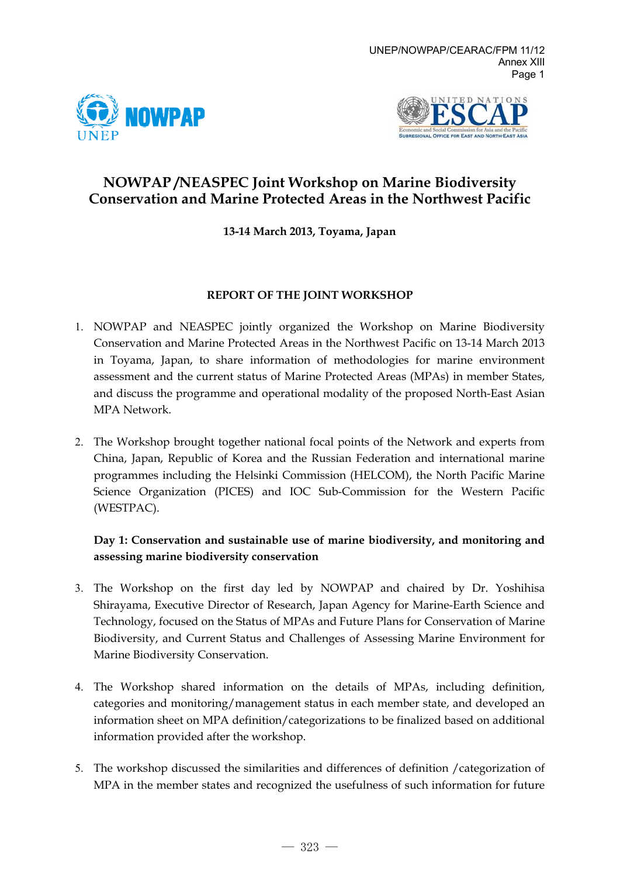



# **NOWPAP /NEASPEC Joint Workshop on Marine Biodiversity Conservation and Marine Protected Areas in the Northwest Pacific**

### **13-14 March 2013, Toyama, Japan**

#### **REPORT OF THE JOINT WORKSHOP**

- 1. NOWPAP and NEASPEC jointly organized the Workshop on Marine Biodiversity Conservation and Marine Protected Areas in the Northwest Pacific on 13-14 March 2013 in Toyama, Japan, to share information of methodologies for marine environment assessment and the current status of Marine Protected Areas (MPAs) in member States, and discuss the programme and operational modality of the proposed North-East Asian MPA Network.
- 2. The Workshop brought together national focal points of the Network and experts from China, Japan, Republic of Korea and the Russian Federation and international marine programmes including the Helsinki Commission (HELCOM), the North Pacific Marine Science Organization (PICES) and IOC Sub-Commission for the Western Pacific (WESTPAC).

# **Day 1: Conservation and sustainable use of marine biodiversity, and monitoring and assessing marine biodiversity conservation**

- 3. The Workshop on the first day led by NOWPAP and chaired by Dr. Yoshihisa Shirayama, Executive Director of Research, Japan Agency for Marine-Earth Science and Technology, focused on the Status of MPAs and Future Plans for Conservation of Marine Biodiversity, and Current Status and Challenges of Assessing Marine Environment for Marine Biodiversity Conservation.
- 4. The Workshop shared information on the details of MPAs, including definition, categories and monitoring/management status in each member state, and developed an information sheet on MPA definition/categorizations to be finalized based on additional information provided after the workshop.
- 5. The workshop discussed the similarities and differences of definition /categorization of MPA in the member states and recognized the usefulness of such information for future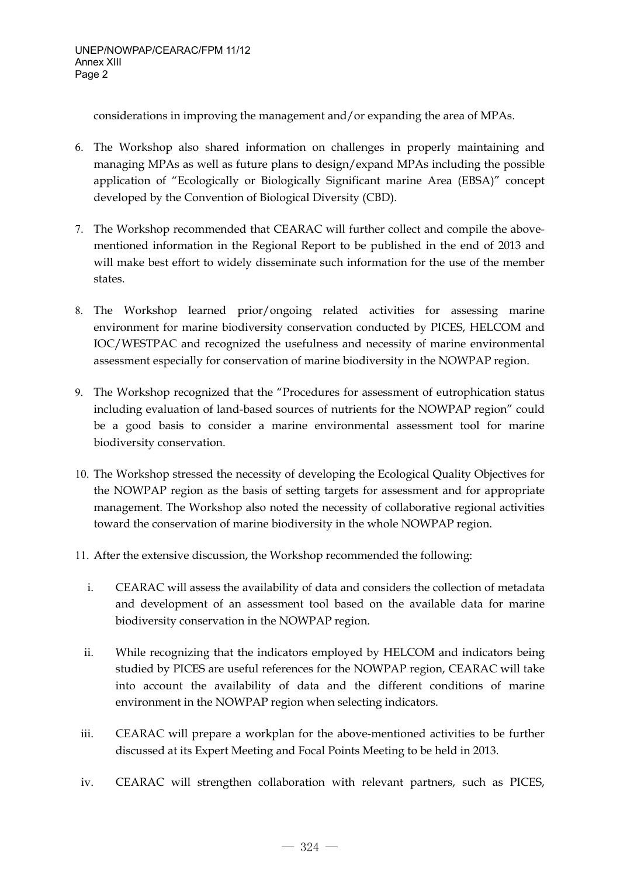considerations in improving the management and/or expanding the area of MPAs.

- 6. The Workshop also shared information on challenges in properly maintaining and managing MPAs as well as future plans to design/expand MPAs including the possible application of "Ecologically or Biologically Significant marine Area (EBSA)" concept developed by the Convention of Biological Diversity (CBD).
- 7. The Workshop recommended that CEARAC will further collect and compile the abovementioned information in the Regional Report to be published in the end of 2013 and will make best effort to widely disseminate such information for the use of the member states.
- 8. The Workshop learned prior/ongoing related activities for assessing marine environment for marine biodiversity conservation conducted by PICES, HELCOM and IOC/WESTPAC and recognized the usefulness and necessity of marine environmental assessment especially for conservation of marine biodiversity in the NOWPAP region.
- 9. The Workshop recognized that the "Procedures for assessment of eutrophication status including evaluation of land-based sources of nutrients for the NOWPAP region" could be a good basis to consider a marine environmental assessment tool for marine biodiversity conservation.
- 10. The Workshop stressed the necessity of developing the Ecological Quality Objectives for the NOWPAP region as the basis of setting targets for assessment and for appropriate management. The Workshop also noted the necessity of collaborative regional activities toward the conservation of marine biodiversity in the whole NOWPAP region.
- 11. After the extensive discussion, the Workshop recommended the following:
	- i. CEARAC will assess the availability of data and considers the collection of metadata and development of an assessment tool based on the available data for marine biodiversity conservation in the NOWPAP region.
	- ii. While recognizing that the indicators employed by HELCOM and indicators being studied by PICES are useful references for the NOWPAP region, CEARAC will take into account the availability of data and the different conditions of marine environment in the NOWPAP region when selecting indicators.
- iii. CEARAC will prepare a workplan for the above-mentioned activities to be further discussed at its Expert Meeting and Focal Points Meeting to be held in 2013.
- iv. CEARAC will strengthen collaboration with relevant partners, such as PICES,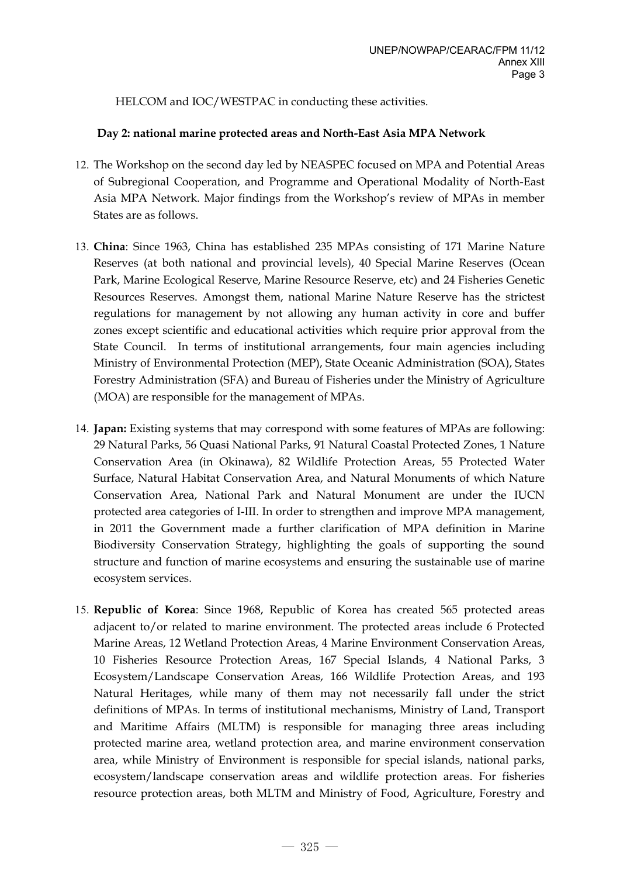HELCOM and IOC/WESTPAC in conducting these activities.

#### **Day 2: national marine protected areas and North-East Asia MPA Network**

- 12. The Workshop on the second day led by NEASPEC focused on MPA and Potential Areas of Subregional Cooperation, and Programme and Operational Modality of North-East Asia MPA Network. Major findings from the Workshop's review of MPAs in member States are as follows.
- 13. **China**: Since 1963, China has established 235 MPAs consisting of 171 Marine Nature Reserves (at both national and provincial levels), 40 Special Marine Reserves (Ocean Park, Marine Ecological Reserve, Marine Resource Reserve, etc) and 24 Fisheries Genetic Resources Reserves. Amongst them, national Marine Nature Reserve has the strictest regulations for management by not allowing any human activity in core and buffer zones except scientific and educational activities which require prior approval from the State Council. In terms of institutional arrangements, four main agencies including Ministry of Environmental Protection (MEP), State Oceanic Administration (SOA), States Forestry Administration (SFA) and Bureau of Fisheries under the Ministry of Agriculture (MOA) are responsible for the management of MPAs.
- 14. **Japan:** Existing systems that may correspond with some features of MPAs are following: 29 Natural Parks, 56 Quasi National Parks, 91 Natural Coastal Protected Zones, 1 Nature Conservation Area (in Okinawa), 82 Wildlife Protection Areas, 55 Protected Water Surface, Natural Habitat Conservation Area, and Natural Monuments of which Nature Conservation Area, National Park and Natural Monument are under the IUCN protected area categories of I-III. In order to strengthen and improve MPA management, in 2011 the Government made a further clarification of MPA definition in Marine Biodiversity Conservation Strategy, highlighting the goals of supporting the sound structure and function of marine ecosystems and ensuring the sustainable use of marine ecosystem services.
- 15. **Republic of Korea**: Since 1968, Republic of Korea has created 565 protected areas adjacent to/or related to marine environment. The protected areas include 6 Protected Marine Areas, 12 Wetland Protection Areas, 4 Marine Environment Conservation Areas, 10 Fisheries Resource Protection Areas, 167 Special Islands, 4 National Parks, 3 Ecosystem/Landscape Conservation Areas, 166 Wildlife Protection Areas, and 193 Natural Heritages, while many of them may not necessarily fall under the strict definitions of MPAs. In terms of institutional mechanisms, Ministry of Land, Transport and Maritime Affairs (MLTM) is responsible for managing three areas including protected marine area, wetland protection area, and marine environment conservation area, while Ministry of Environment is responsible for special islands, national parks, ecosystem/landscape conservation areas and wildlife protection areas. For fisheries resource protection areas, both MLTM and Ministry of Food, Agriculture, Forestry and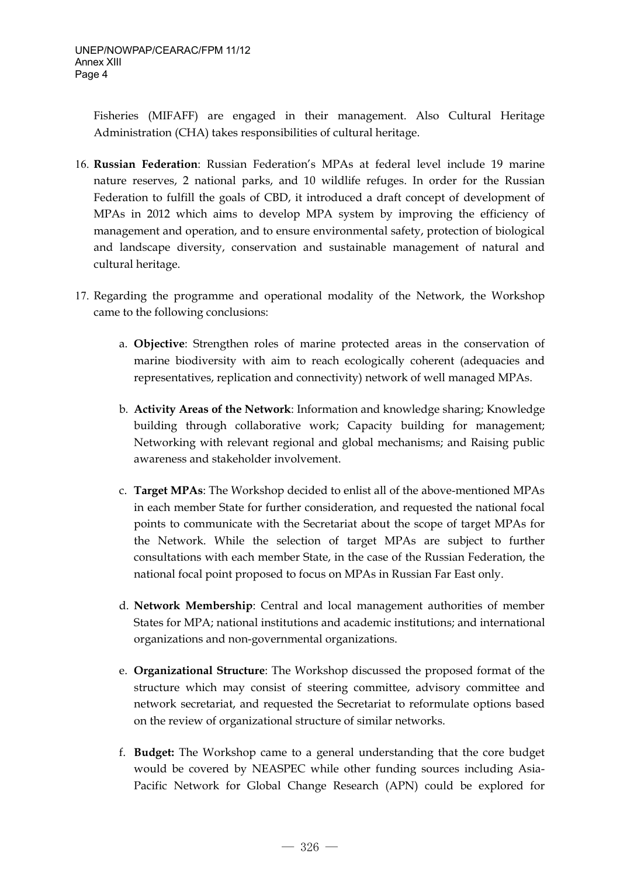Fisheries (MIFAFF) are engaged in their management. Also Cultural Heritage Administration (CHA) takes responsibilities of cultural heritage.

- 16. **Russian Federation**: Russian Federation's MPAs at federal level include 19 marine nature reserves, 2 national parks, and 10 wildlife refuges. In order for the Russian Federation to fulfill the goals of CBD, it introduced a draft concept of development of MPAs in 2012 which aims to develop MPA system by improving the efficiency of management and operation, and to ensure environmental safety, protection of biological and landscape diversity, conservation and sustainable management of natural and cultural heritage.
- 17. Regarding the programme and operational modality of the Network, the Workshop came to the following conclusions:
	- a. **Objective**: Strengthen roles of marine protected areas in the conservation of marine biodiversity with aim to reach ecologically coherent (adequacies and representatives, replication and connectivity) network of well managed MPAs.
	- b. **Activity Areas of the Network**: Information and knowledge sharing; Knowledge building through collaborative work; Capacity building for management; Networking with relevant regional and global mechanisms; and Raising public awareness and stakeholder involvement.
	- c. **Target MPAs**: The Workshop decided to enlist all of the above-mentioned MPAs in each member State for further consideration, and requested the national focal points to communicate with the Secretariat about the scope of target MPAs for the Network. While the selection of target MPAs are subject to further consultations with each member State, in the case of the Russian Federation, the national focal point proposed to focus on MPAs in Russian Far East only.
	- d. **Network Membership**: Central and local management authorities of member States for MPA; national institutions and academic institutions; and international organizations and non-governmental organizations.
	- e. **Organizational Structure**: The Workshop discussed the proposed format of the structure which may consist of steering committee, advisory committee and network secretariat, and requested the Secretariat to reformulate options based on the review of organizational structure of similar networks.
	- f. **Budget:** The Workshop came to a general understanding that the core budget would be covered by NEASPEC while other funding sources including Asia-Pacific Network for Global Change Research (APN) could be explored for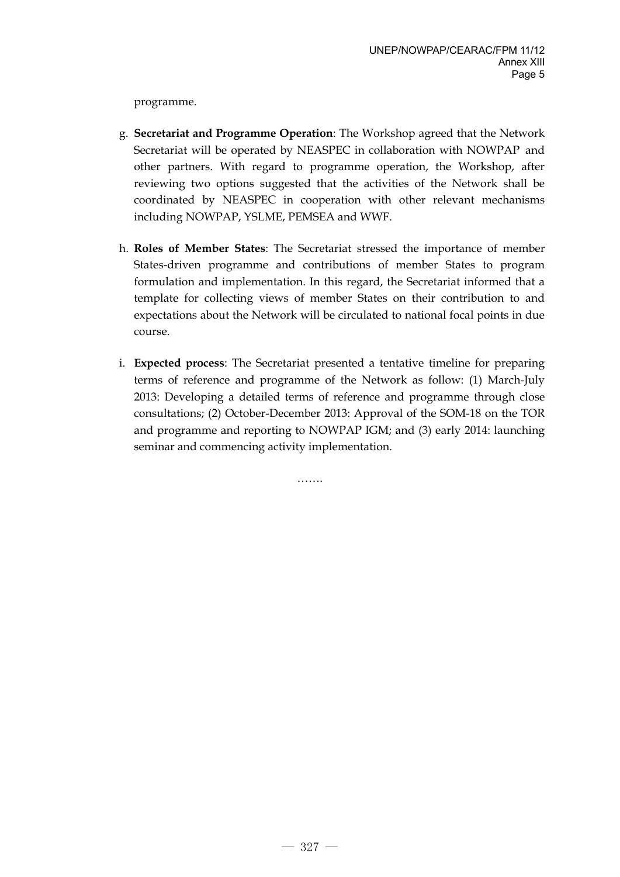programme.

- g. **Secretariat and Programme Operation**: The Workshop agreed that the Network Secretariat will be operated by NEASPEC in collaboration with NOWPAP and other partners. With regard to programme operation, the Workshop, after reviewing two options suggested that the activities of the Network shall be coordinated by NEASPEC in cooperation with other relevant mechanisms including NOWPAP, YSLME, PEMSEA and WWF.
- h. **Roles of Member States**: The Secretariat stressed the importance of member States-driven programme and contributions of member States to program formulation and implementation. In this regard, the Secretariat informed that a template for collecting views of member States on their contribution to and expectations about the Network will be circulated to national focal points in due course.
- i. **Expected process**: The Secretariat presented a tentative timeline for preparing terms of reference and programme of the Network as follow: (1) March-July 2013: Developing a detailed terms of reference and programme through close consultations; (2) October-December 2013: Approval of the SOM-18 on the TOR and programme and reporting to NOWPAP IGM; and (3) early 2014: launching seminar and commencing activity implementation.

…….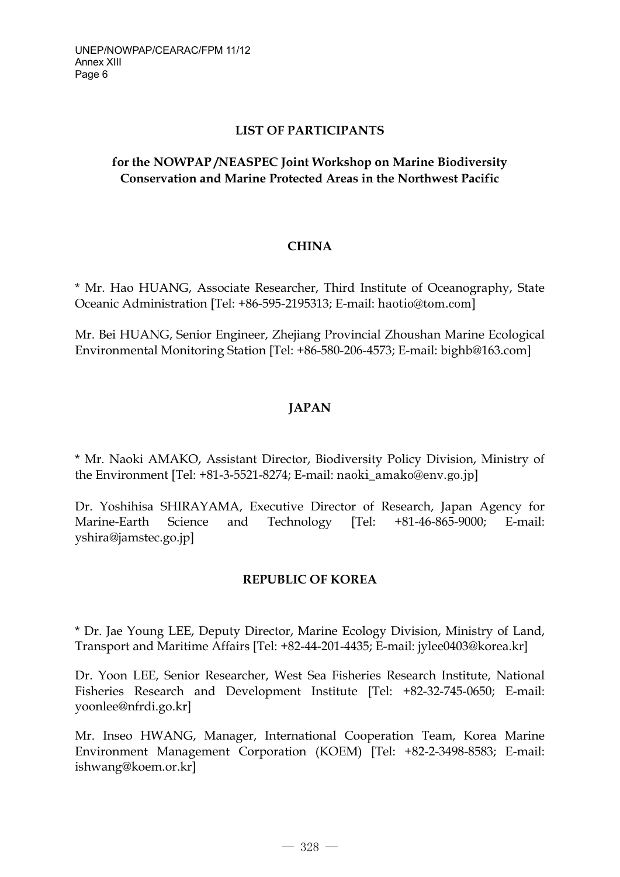### **LIST OF PARTICIPANTS**

# **for the NOWPAP /NEASPEC Joint Workshop on Marine Biodiversity Conservation and Marine Protected Areas in the Northwest Pacific**

### **CHINA**

\* Mr. Hao HUANG, Associate Researcher, Third Institute of Oceanography, State Oceanic Administration [Tel: +86-595-2195313; E-mail: haotio@tom.com]

Mr. Bei HUANG, Senior Engineer, Zhejiang Provincial Zhoushan Marine Ecological Environmental Monitoring Station [Tel: +86-580-206-4573; E-mail: bighb@163.com]

# **JAPAN**

\* Mr. Naoki AMAKO, Assistant Director, Biodiversity Policy Division, Ministry of the Environment [Tel: +81-3-5521-8274; E-mail: naoki\_amako@env.go.jp]

Dr. Yoshihisa SHIRAYAMA, Executive Director of Research, Japan Agency for Marine-Earth Science and Technology [Tel: +81-46-865-9000; E-mail: yshira@jamstec.go.jp]

#### **REPUBLIC OF KOREA**

\* Dr. Jae Young LEE, Deputy Director, Marine Ecology Division, Ministry of Land, Transport and Maritime Affairs [Tel: +82-44-201-4435; E-mail: jylee0403@korea.kr]

Dr. Yoon LEE, Senior Researcher, West Sea Fisheries Research Institute, National Fisheries Research and Development Institute [Tel: +82-32-745-0650; E-mail: yoonlee@nfrdi.go.kr]

Mr. Inseo HWANG, Manager, International Cooperation Team, Korea Marine Environment Management Corporation (KOEM) [Tel: +82-2-3498-8583; E-mail: ishwang@koem.or.kr]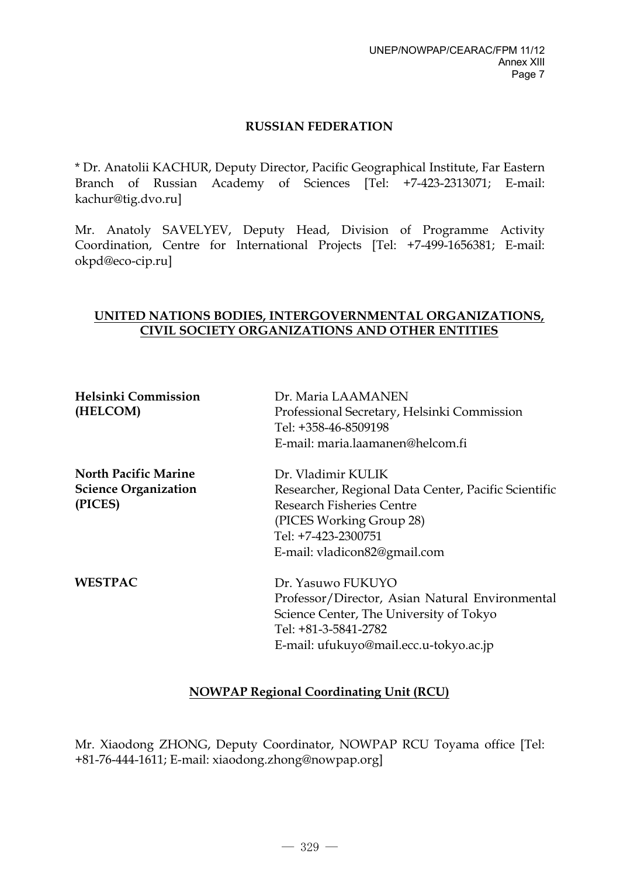#### **RUSSIAN FEDERATION**

\* Dr. Anatolii KACHUR, Deputy Director, Pacific Geographical Institute, Far Eastern Branch of Russian Academy of Sciences [Tel: +7-423-2313071; E-mail: kachur@tig.dvo.ru]

Mr. Anatoly SAVELYEV, Deputy Head, Division of Programme Activity Coordination, Centre for International Projects [Tel: +7-499-1656381; E-mail: okpd@eco-cip.ru]

#### **UNITED NATIONS BODIES, INTERGOVERNMENTAL ORGANIZATIONS, CIVIL SOCIETY ORGANIZATIONS AND OTHER ENTITIES**

| <b>Helsinki Commission</b>  | Dr. Maria LAAMANEN                                   |
|-----------------------------|------------------------------------------------------|
| (HELCOM)                    | Professional Secretary, Helsinki Commission          |
|                             | Tel: +358-46-8509198                                 |
|                             | E-mail: maria.laamanen@helcom.fi                     |
| <b>North Pacific Marine</b> | Dr. Vladimir KULIK                                   |
| <b>Science Organization</b> | Researcher, Regional Data Center, Pacific Scientific |
| (PICES)                     | <b>Research Fisheries Centre</b>                     |
|                             | (PICES Working Group 28)                             |
|                             | Tel: +7-423-2300751                                  |
|                             | E-mail: vladicon82@gmail.com                         |
| <b>WESTPAC</b>              | Dr. Yasuwo FUKUYO                                    |
|                             | Professor/Director, Asian Natural Environmental      |
|                             | Science Center, The University of Tokyo              |
|                             | Tel: +81-3-5841-2782                                 |
|                             | E-mail: ufukuyo@mail.ecc.u-tokyo.ac.jp               |

# **NOWPAP Regional Coordinating Unit (RCU)**

Mr. Xiaodong ZHONG, Deputy Coordinator, NOWPAP RCU Toyama office [Tel: +81-76-444-1611; E-mail: xiaodong.zhong@nowpap.org]